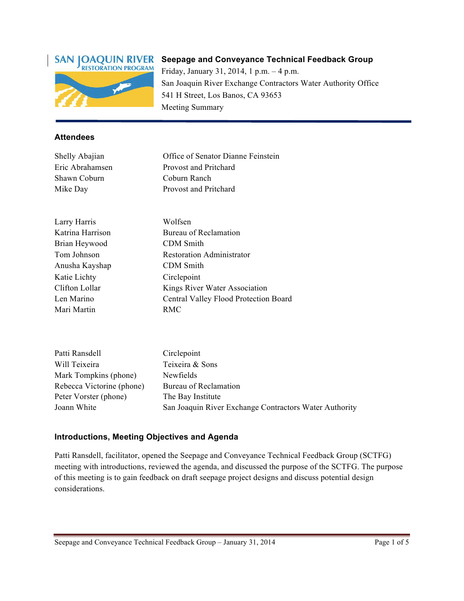

# **Seepage and Conveyance Technical Feedback Group**

Friday, January 31, 2014, 1 p.m. – 4 p.m. San Joaquin River Exchange Contractors Water Authority Office 541 H Street, Los Banos, CA 93653 Meeting Summary

#### **Attendees**

Shawn Coburn Coburn Ranch

Shelly Abajian Office of Senator Dianne Feinstein Eric Abrahamsen Provost and Pritchard Mike Day Provost and Pritchard

Larry Harris Wolfsen Brian Heywood CDM Smith Anusha Kayshap CDM Smith Katie Lichty Circlepoint Mari Martin RMC

Katrina Harrison Bureau of Reclamation Tom Johnson Restoration Administrator Clifton Lollar Kings River Water Association Len Marino Central Valley Flood Protection Board

| Patti Ransdell            | Circlepoint                                            |
|---------------------------|--------------------------------------------------------|
| Will Teixeira             | Teixeira & Sons                                        |
| Mark Tompkins (phone)     | Newfields                                              |
| Rebecca Victorine (phone) | Bureau of Reclamation                                  |
| Peter Vorster (phone)     | The Bay Institute                                      |
| Joann White               | San Joaquin River Exchange Contractors Water Authority |

#### **Introductions, Meeting Objectives and Agenda**

Patti Ransdell, facilitator, opened the Seepage and Conveyance Technical Feedback Group (SCTFG) meeting with introductions, reviewed the agenda, and discussed the purpose of the SCTFG. The purpose of this meeting is to gain feedback on draft seepage project designs and discuss potential design considerations.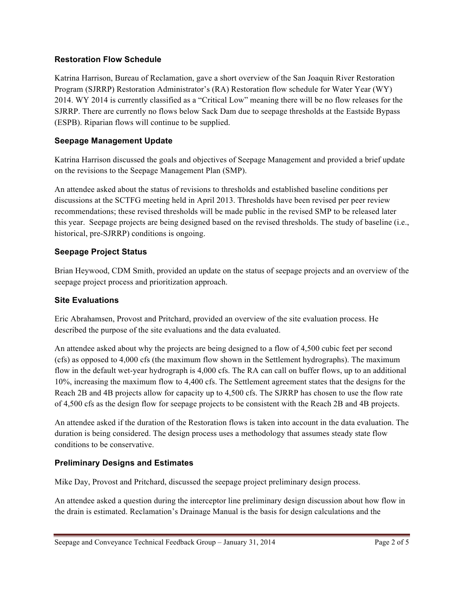#### **Restoration Flow Schedule**

Katrina Harrison, Bureau of Reclamation, gave a short overview of the San Joaquin River Restoration Program (SJRRP) Restoration Administrator's (RA) Restoration flow schedule for Water Year (WY) 2014. WY 2014 is currently classified as a "Critical Low" meaning there will be no flow releases for the SJRRP. There are currently no flows below Sack Dam due to seepage thresholds at the Eastside Bypass (ESPB). Riparian flows will continue to be supplied.

### **Seepage Management Update**

Katrina Harrison discussed the goals and objectives of Seepage Management and provided a brief update on the revisions to the Seepage Management Plan (SMP).

An attendee asked about the status of revisions to thresholds and established baseline conditions per discussions at the SCTFG meeting held in April 2013. Thresholds have been revised per peer review recommendations; these revised thresholds will be made public in the revised SMP to be released later this year. Seepage projects are being designed based on the revised thresholds. The study of baseline (i.e., historical, pre-SJRRP) conditions is ongoing.

## **Seepage Project Status**

Brian Heywood, CDM Smith, provided an update on the status of seepage projects and an overview of the seepage project process and prioritization approach.

## **Site Evaluations**

Eric Abrahamsen, Provost and Pritchard, provided an overview of the site evaluation process. He described the purpose of the site evaluations and the data evaluated.

An attendee asked about why the projects are being designed to a flow of 4,500 cubic feet per second (cfs) as opposed to 4,000 cfs (the maximum flow shown in the Settlement hydrographs). The maximum flow in the default wet-year hydrograph is 4,000 cfs. The RA can call on buffer flows, up to an additional 10%, increasing the maximum flow to 4,400 cfs. The Settlement agreement states that the designs for the Reach 2B and 4B projects allow for capacity up to 4,500 cfs. The SJRRP has chosen to use the flow rate of 4,500 cfs as the design flow for seepage projects to be consistent with the Reach 2B and 4B projects.

An attendee asked if the duration of the Restoration flows is taken into account in the data evaluation. The duration is being considered. The design process uses a methodology that assumes steady state flow conditions to be conservative.

## **Preliminary Designs and Estimates**

Mike Day, Provost and Pritchard, discussed the seepage project preliminary design process.

An attendee asked a question during the interceptor line preliminary design discussion about how flow in the drain is estimated. Reclamation's Drainage Manual is the basis for design calculations and the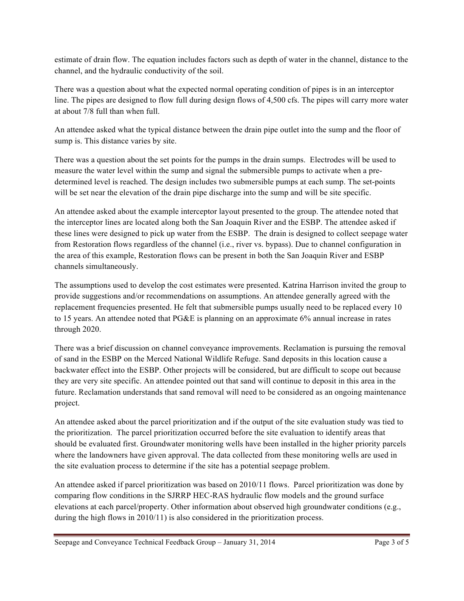estimate of drain flow. The equation includes factors such as depth of water in the channel, distance to the channel, and the hydraulic conductivity of the soil.

There was a question about what the expected normal operating condition of pipes is in an interceptor line. The pipes are designed to flow full during design flows of 4,500 cfs. The pipes will carry more water at about 7/8 full than when full.

An attendee asked what the typical distance between the drain pipe outlet into the sump and the floor of sump is. This distance varies by site.

There was a question about the set points for the pumps in the drain sumps. Electrodes will be used to measure the water level within the sump and signal the submersible pumps to activate when a predetermined level is reached. The design includes two submersible pumps at each sump. The set-points will be set near the elevation of the drain pipe discharge into the sump and will be site specific.

An attendee asked about the example interceptor layout presented to the group. The attendee noted that the interceptor lines are located along both the San Joaquin River and the ESBP. The attendee asked if these lines were designed to pick up water from the ESBP. The drain is designed to collect seepage water from Restoration flows regardless of the channel (i.e., river vs. bypass). Due to channel configuration in the area of this example, Restoration flows can be present in both the San Joaquin River and ESBP channels simultaneously.

The assumptions used to develop the cost estimates were presented. Katrina Harrison invited the group to provide suggestions and/or recommendations on assumptions. An attendee generally agreed with the replacement frequencies presented. He felt that submersible pumps usually need to be replaced every 10 to 15 years. An attendee noted that PG&E is planning on an approximate 6% annual increase in rates through 2020.

There was a brief discussion on channel conveyance improvements. Reclamation is pursuing the removal of sand in the ESBP on the Merced National Wildlife Refuge. Sand deposits in this location cause a backwater effect into the ESBP. Other projects will be considered, but are difficult to scope out because they are very site specific. An attendee pointed out that sand will continue to deposit in this area in the future. Reclamation understands that sand removal will need to be considered as an ongoing maintenance project.

An attendee asked about the parcel prioritization and if the output of the site evaluation study was tied to the prioritization. The parcel prioritization occurred before the site evaluation to identify areas that should be evaluated first. Groundwater monitoring wells have been installed in the higher priority parcels where the landowners have given approval. The data collected from these monitoring wells are used in the site evaluation process to determine if the site has a potential seepage problem.

An attendee asked if parcel prioritization was based on 2010/11 flows. Parcel prioritization was done by comparing flow conditions in the SJRRP HEC-RAS hydraulic flow models and the ground surface elevations at each parcel/property. Other information about observed high groundwater conditions (e.g., during the high flows in 2010/11) is also considered in the prioritization process.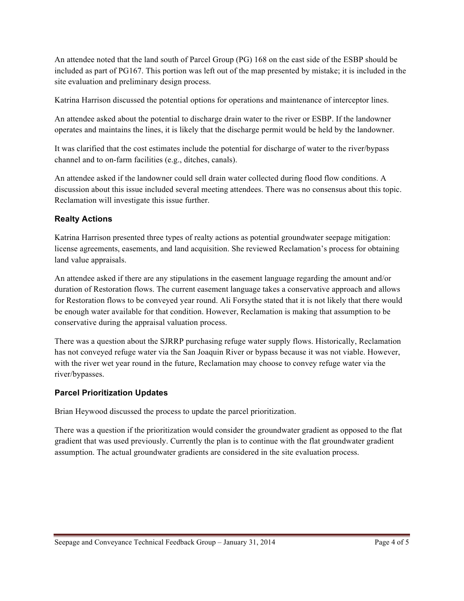An attendee noted that the land south of Parcel Group (PG) 168 on the east side of the ESBP should be included as part of PG167. This portion was left out of the map presented by mistake; it is included in the site evaluation and preliminary design process.

Katrina Harrison discussed the potential options for operations and maintenance of interceptor lines.

An attendee asked about the potential to discharge drain water to the river or ESBP. If the landowner operates and maintains the lines, it is likely that the discharge permit would be held by the landowner.

It was clarified that the cost estimates include the potential for discharge of water to the river/bypass channel and to on-farm facilities (e.g., ditches, canals).

An attendee asked if the landowner could sell drain water collected during flood flow conditions. A discussion about this issue included several meeting attendees. There was no consensus about this topic. Reclamation will investigate this issue further.

## **Realty Actions**

Katrina Harrison presented three types of realty actions as potential groundwater seepage mitigation: license agreements, easements, and land acquisition. She reviewed Reclamation's process for obtaining land value appraisals.

An attendee asked if there are any stipulations in the easement language regarding the amount and/or duration of Restoration flows. The current easement language takes a conservative approach and allows for Restoration flows to be conveyed year round. Ali Forsythe stated that it is not likely that there would be enough water available for that condition. However, Reclamation is making that assumption to be conservative during the appraisal valuation process.

There was a question about the SJRRP purchasing refuge water supply flows. Historically, Reclamation has not conveyed refuge water via the San Joaquin River or bypass because it was not viable. However, with the river wet year round in the future, Reclamation may choose to convey refuge water via the river/bypasses.

## **Parcel Prioritization Updates**

Brian Heywood discussed the process to update the parcel prioritization.

There was a question if the prioritization would consider the groundwater gradient as opposed to the flat gradient that was used previously. Currently the plan is to continue with the flat groundwater gradient assumption. The actual groundwater gradients are considered in the site evaluation process.